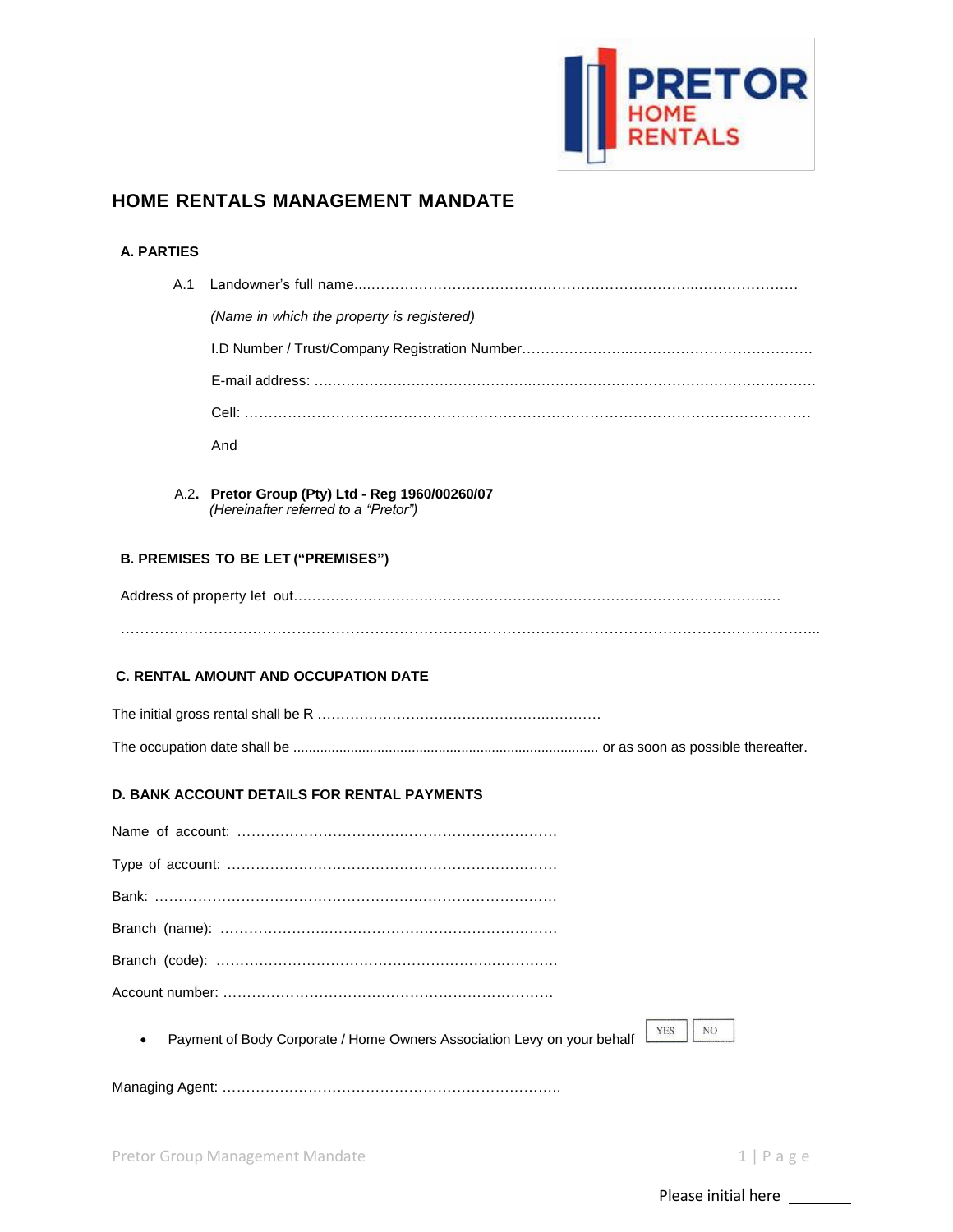

### **HOME RENTALS MANAGEMENT MANDATE**

#### **A. PARTIES**

| A.1 |                                                                                              |
|-----|----------------------------------------------------------------------------------------------|
|     | (Name in which the property is registered)                                                   |
|     |                                                                                              |
|     |                                                                                              |
|     |                                                                                              |
|     | And                                                                                          |
|     | A.2. Pretor Group (Pty) Ltd - Reg 1960/00260/07<br>(Hereinafter referred to a "Pretor")      |
|     | <b>B. PREMISES TO BE LET ("PREMISES")</b>                                                    |
|     |                                                                                              |
|     |                                                                                              |
|     | <b>C. RENTAL AMOUNT AND OCCUPATION DATE</b>                                                  |
|     |                                                                                              |
|     |                                                                                              |
|     | D. BANK ACCOUNT DETAILS FOR RENTAL PAYMENTS                                                  |
|     |                                                                                              |
|     |                                                                                              |
|     |                                                                                              |
|     |                                                                                              |
|     |                                                                                              |
|     |                                                                                              |
|     | NO.<br><b>YES</b><br>Payment of Body Corporate / Home Owners Association Levy on your behalf |
|     |                                                                                              |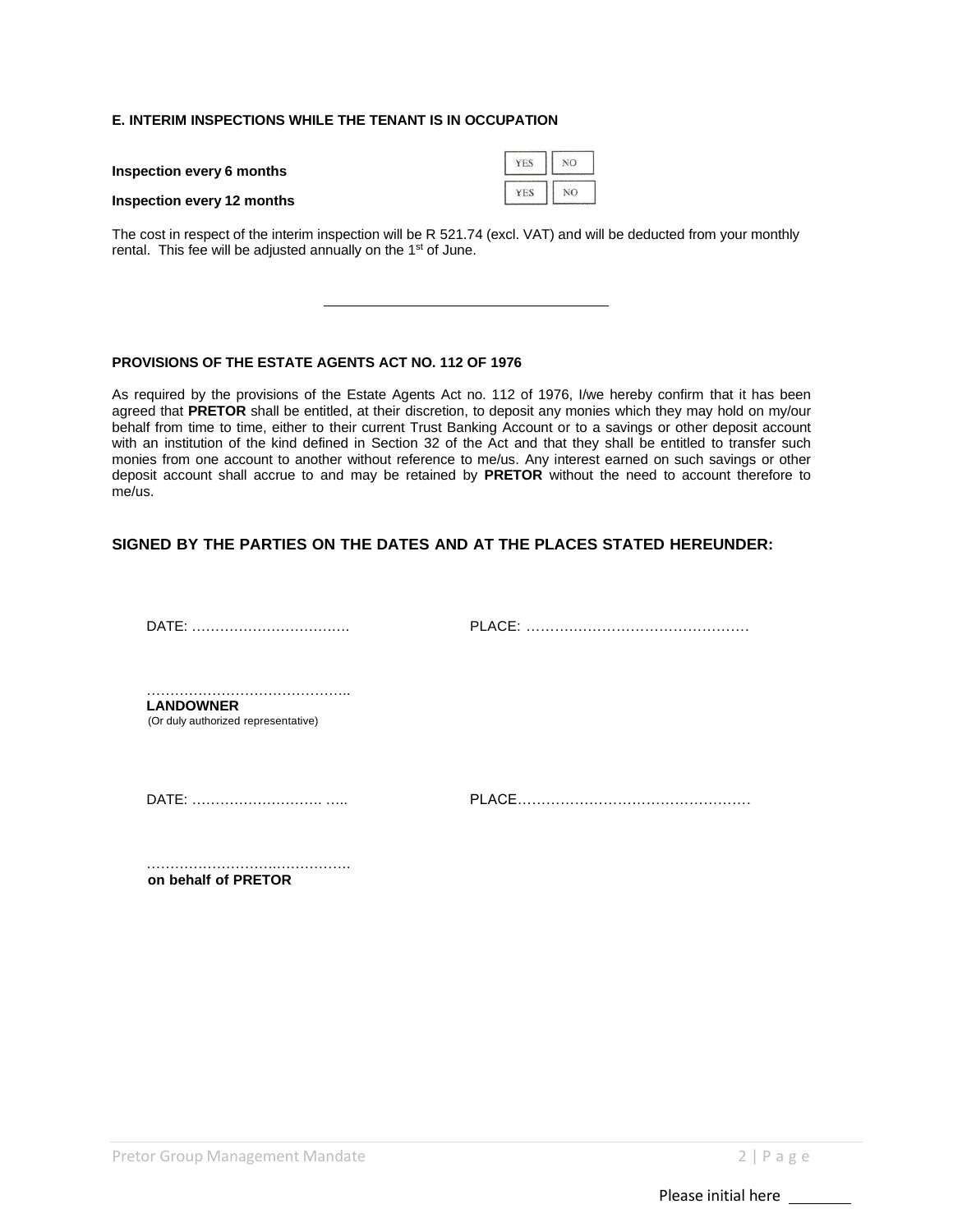#### **E. INTERIM INSPECTIONS WHILE THE TENANT IS IN OCCUPATION**

| Inspection every 6 months         | YES   <br>NO <sub>1</sub> |           |  |
|-----------------------------------|---------------------------|-----------|--|
| <b>Inspection every 12 months</b> | YES                       | <b>NO</b> |  |

The cost in respect of the interim inspection will be R 521.74 (excl. VAT) and will be deducted from your monthly rental. This fee will be adjusted annually on the 1<sup>st</sup> of June.

#### **PROVISIONS OF THE ESTATE AGENTS ACT NO. 112 OF 1976**

As required by the provisions of the Estate Agents Act no. 112 of 1976, I/we hereby confirm that it has been agreed that **PRETOR** shall be entitled, at their discretion, to deposit any monies which they may hold on my/our behalf from time to time, either to their current Trust Banking Account or to a savings or other deposit account with an institution of the kind defined in Section 32 of the Act and that they shall be entitled to transfer such monies from one account to another without reference to me/us. Any interest earned on such savings or other deposit account shall accrue to and may be retained by **PRETOR** without the need to account therefore to me/us.

#### **SIGNED BY THE PARTIES ON THE DATES AND AT THE PLACES STATED HEREUNDER:**

DATE: ……………………………. PLACE: ……….……………………………….

…………………………………………… **LANDOWNER** (Or duly authorized representative)

DATE: ………………………. ….. PLACE………………………………………….

……………………….……………. **on behalf of PRETOR**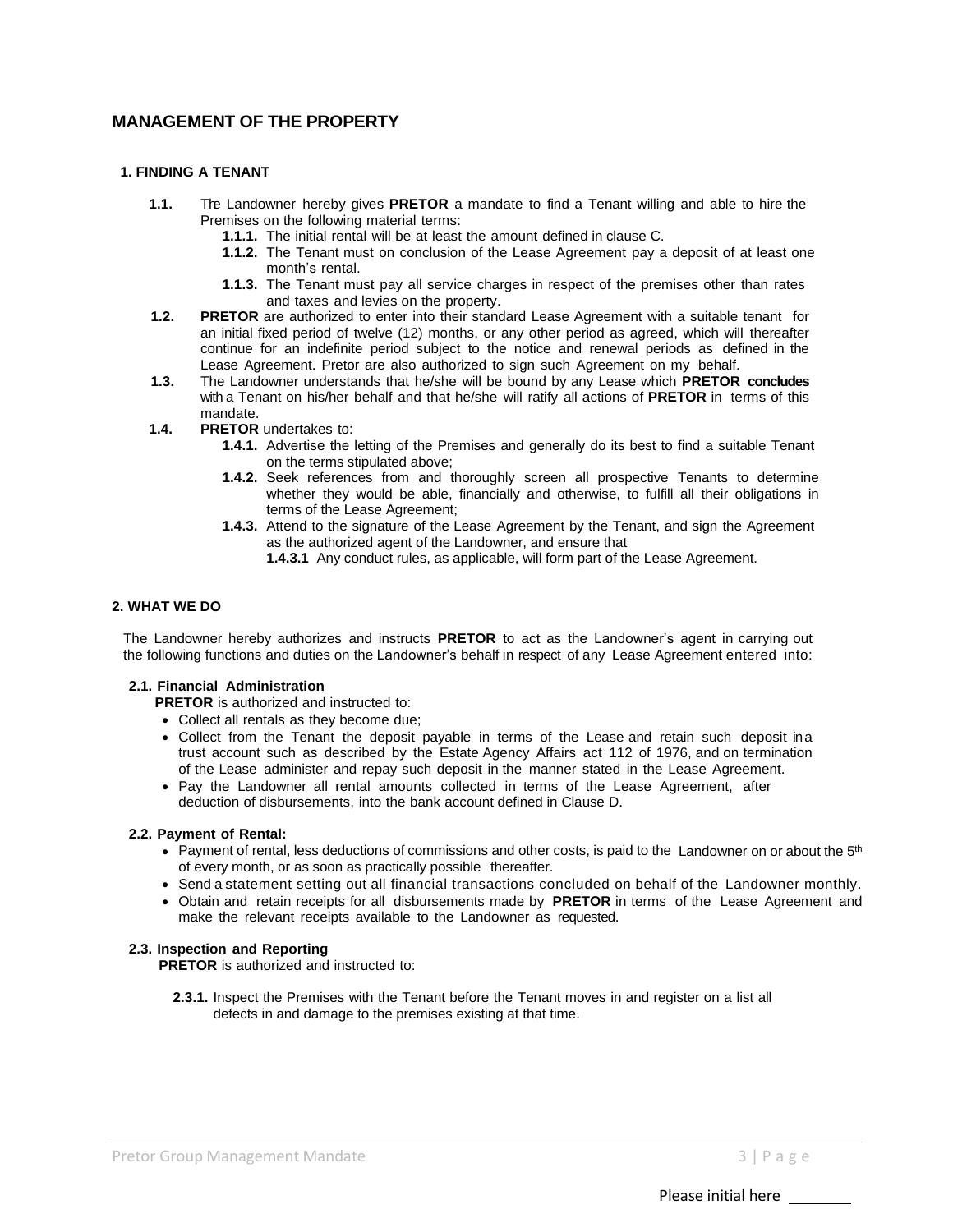### **MANAGEMENT OF THE PROPERTY**

#### **1. FINDING A TENANT**

- **1.1.** The Landowner hereby gives **PRETOR** a mandate to find a Tenant willing and able to hire the Premises on the following material terms:
	- **1.1.1.** The initial rental will be at least the amount defined in clause C.
	- **1.1.2.** The Tenant must on conclusion of the Lease Agreement pay a deposit of at least one month's rental.
	- **1.1.3.** The Tenant must pay all service charges in respect of the premises other than rates and taxes and levies on the property.
- **1.2. PRETOR** are authorized to enter into their standard Lease Agreement with a suitable tenant for an initial fixed period of twelve (12) months, or any other period as agreed, which will thereafter continue for an indefinite period subject to the notice and renewal periods as defined in the Lease Agreement. Pretor are also authorized to sign such Agreement on my behalf.
- **1.3.** The Landowner understands that he/she will be bound by any Lease which **PRETOR concludes** with a Tenant on his/her behalf and that he/she will ratify all actions of **PRETOR** in terms of this mandate.
- **1.4. PRETOR** undertakes to:
	- **1.4.1.** Advertise the letting of the Premises and generally do its best to find a suitable Tenant on the terms stipulated above;
	- **1.4.2.** Seek references from and thoroughly screen all prospective Tenants to determine whether they would be able, financially and otherwise, to fulfill all their obligations in terms of the Lease Agreement;
	- **1.4.3.** Attend to the signature of the Lease Agreement by the Tenant, and sign the Agreement as the authorized agent of the Landowner, and ensure that
		- **1.4.3.1** Any conduct rules, as applicable, will form part of the Lease Agreement.

#### **2. WHAT WE DO**

The Landowner hereby authorizes and instructs **PRETOR** to act as the Landowner's agent in carrying out the following functions and duties on the Landowner's behalf in respect of any Lease Agreement entered into:

#### **2.1. Financial Administration**

**PRETOR** is authorized and instructed to:

- Collect all rentals as they become due;
- Collect from the Tenant the deposit payable in terms of the Lease and retain such deposit ina trust account such as described by the Estate Agency Affairs act 112 of 1976, and on termination of the Lease administer and repay such deposit in the manner stated in the Lease Agreement.
- Pay the Landowner all rental amounts collected in terms of the Lease Agreement, after deduction of disbursements, into the bank account defined in Clause D.

#### **2.2. Payment of Rental:**

- Payment of rental, less deductions of commissions and other costs, is paid to the Landowner on or about the  $5<sup>th</sup>$ of every month, or as soon as practically possible thereafter.
- Send a statement setting out all financial transactions concluded on behalf of the Landowner monthly.
- Obtain and retain receipts for all disbursements made by **PRETOR** in terms of the Lease Agreement and make the relevant receipts available to the Landowner as requested.

#### **2.3. Inspection and Reporting**

**PRETOR** is authorized and instructed to:

**2.3.1.** Inspect the Premises with the Tenant before the Tenant moves in and register on a list all defects in and damage to the premises existing at that time.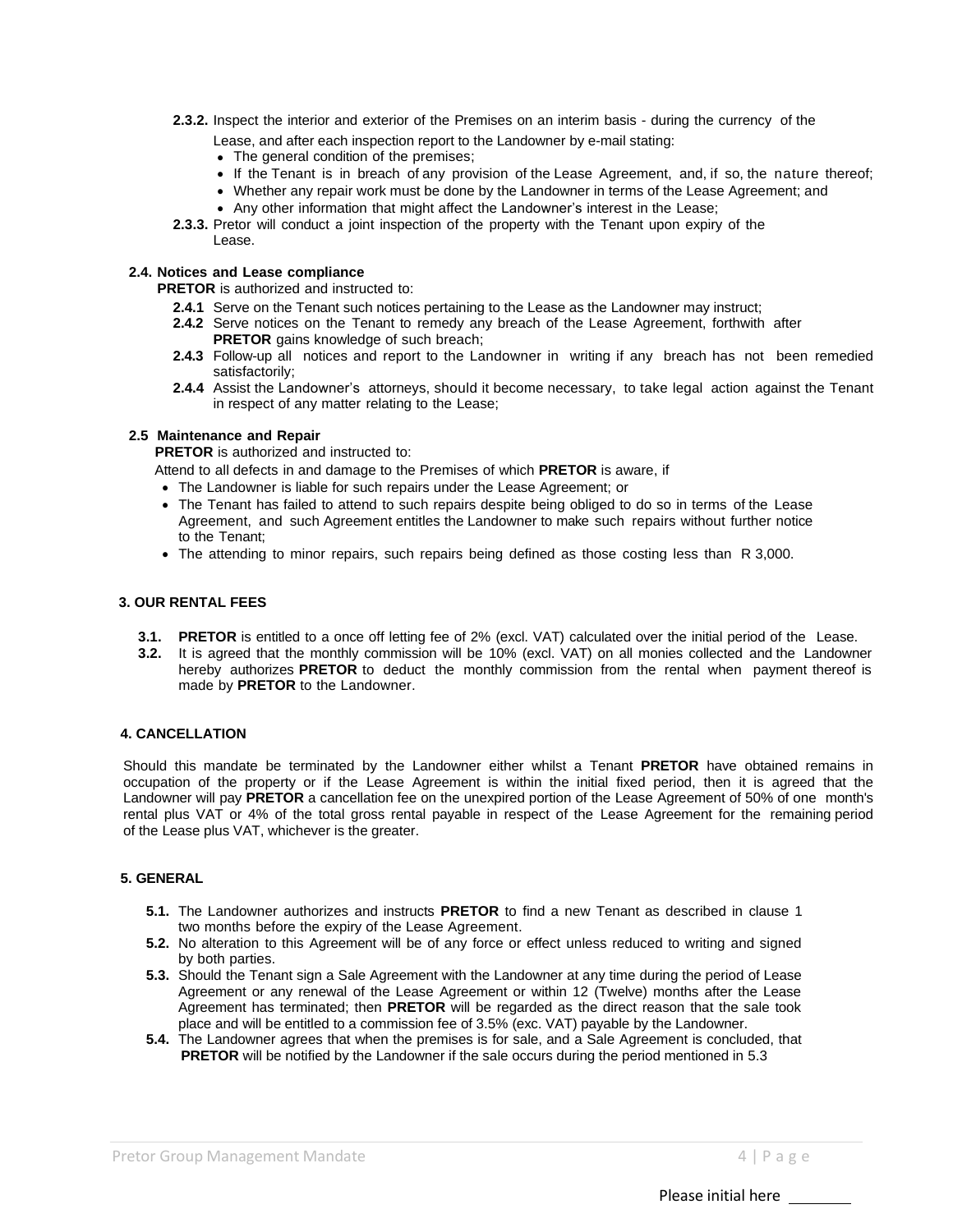- **2.3.2.** Inspect the interior and exterior of the Premises on an interim basis during the currency of the
	- Lease, and after each inspection report to the Landowner by e-mail stating:
	- The general condition of the premises;
	- If the Tenant is in breach of any provision of the Lease Agreement, and, if so, the nature thereof;
	- Whether any repair work must be done by the Landowner in terms of the Lease Agreement; and
	- Any other information that might affect the Landowner's interest in the Lease;
- **2.3.3.** Pretor will conduct a joint inspection of the property with the Tenant upon expiry of the Lease.

#### **2.4. Notices and Lease compliance**

**PRETOR** is authorized and instructed to:

- **2.4.1** Serve on the Tenant such notices pertaining to the Lease as the Landowner may instruct;
- **2.4.2** Serve notices on the Tenant to remedy any breach of the Lease Agreement, forthwith after **PRETOR** gains knowledge of such breach;
- **2.4.3** Follow-up all notices and report to the Landowner in writing if any breach has not been remedied satisfactorily;
- **2.4.4** Assist the Landowner's attorneys, should it become necessary, to take legal action against the Tenant in respect of any matter relating to the Lease;

#### **2.5 Maintenance and Repair**

**PRETOR** is authorized and instructed to:

Attend to all defects in and damage to the Premises of which **PRETOR** is aware, if

- The Landowner is liable for such repairs under the Lease Agreement; or
- The Tenant has failed to attend to such repairs despite being obliged to do so in terms of the Lease Agreement, and such Agreement entitles the Landowner to make such repairs without further notice to the Tenant;
- The attending to minor repairs, such repairs being defined as those costing less than R 3,000.

#### **3. OUR RENTAL FEES**

- **3.1. PRETOR** is entitled to a once off letting fee of 2% (excl. VAT) calculated over the initial period of the Lease.
- **3.2.** It is agreed that the monthly commission will be 10% (excl. VAT) on all monies collected and the Landowner hereby authorizes **PRETOR** to deduct the monthly commission from the rental when payment thereof is made by **PRETOR** to the Landowner.

#### **4. CANCELLATION**

Should this mandate be terminated by the Landowner either whilst a Tenant **PRETOR** have obtained remains in occupation of the property or if the Lease Agreement is within the initial fixed period, then it is agreed that the Landowner will pay **PRETOR** a cancellation fee on the unexpired portion of the Lease Agreement of 50% of one month's rental plus VAT or 4% of the total gross rental payable in respect of the Lease Agreement for the remaining period of the Lease plus VAT, whichever is the greater.

#### **5. GENERAL**

- **5.1.** The Landowner authorizes and instructs **PRETOR** to find a new Tenant as described in clause 1 two months before the expiry of the Lease Agreement.
- **5.2.** No alteration to this Agreement will be of any force or effect unless reduced to writing and signed by both parties.
- **5.3.** Should the Tenant sign a Sale Agreement with the Landowner at any time during the period of Lease Agreement or any renewal of the Lease Agreement or within 12 (Twelve) months after the Lease Agreement has terminated; then **PRETOR** will be regarded as the direct reason that the sale took place and will be entitled to a commission fee of 3.5% (exc. VAT) payable by the Landowner.
- **5.4.** The Landowner agrees that when the premises is for sale, and a Sale Agreement is concluded, that **PRETOR** will be notified by the Landowner if the sale occurs during the period mentioned in 5.3